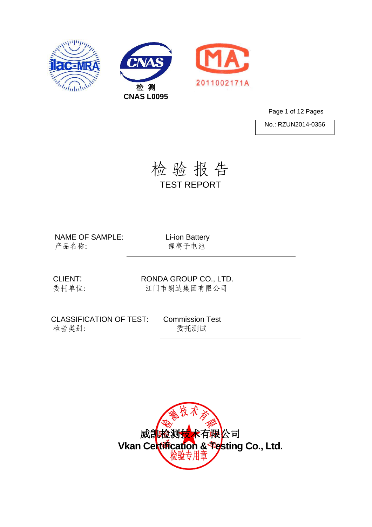





Page 1 of 12 Pages

No.: RZUN2014-0356

检 验 报 告 TEST REPORT

NAME OF SAMPLE: Li-ion Battery 产品名称: 锂离子电池

CLIENT: RONDA GROUP CO., LTD. 委托单位: 江门市朗达集团有限公司

CLASSIFICATION OF TEST: Commission Test 检验类别: 李托测试

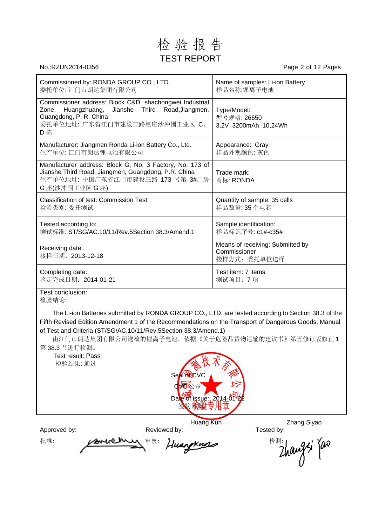### 检 验 报 告 TEST REPORT

No.:RZUN2014-0356 Page 2 of 12 Pages

| Commissioned by: RONDA GROUP CO., LTD.                                                                                                                                          | Name of samples: Li-ion Battery                                  |
|---------------------------------------------------------------------------------------------------------------------------------------------------------------------------------|------------------------------------------------------------------|
| 委托单位: 江门市朗达集团有限公司                                                                                                                                                               | 样品名称:锂离子电池                                                       |
| Commissioner address: Block C&D, shachongwei Industrial<br>Huangzhuang, Jianshe Third Road, Jiangmen,<br>Zone.<br>Guangdong, P. R. China<br>委托单位地址: 广东省江门市建设三路篁庄沙冲围工业区 C、<br>D栋 | Type/Model:<br>型号规格: 26650<br>3,2V 3200mAh 10,24Wh               |
| Manufacturer: Jiangmen Ronda Li-ion Battery Co., Ltd.                                                                                                                           | Appearance: Gray                                                 |
| 生产单位: 江门市朗达锂电池有限公司                                                                                                                                                              | 样品外观颜色: 灰色                                                       |
| Manufacturer address: Block G, No. 3 Factory, No. 173 of<br>Jianshe Third Road, Jiangmen, Guangdong, P.R. China<br>生产单位地址: 中国广东省江门市建设三路 173 号第 3#厂房<br>G 座(沙冲围工业区 G 座)          | Trade mark:<br>商标: RONDA                                         |
| <b>Classification of test: Commission Test</b>                                                                                                                                  | Quantity of sample: 35 cells                                     |
| 检验类别: 委托测试                                                                                                                                                                      | 样品数量: 35个电芯                                                      |
| Tested according to:                                                                                                                                                            | Sample identification:                                           |
| 测试标准: ST/SG/AC.10/11/Rev.5Section 38.3/Amend.1                                                                                                                                  | 样品标识序号: c1#-c35#                                                 |
| Receiving date:<br>接样日期: 2013-12-18                                                                                                                                             | Means of receiving: Submitted by<br>Commissioner<br>接样方式: 委托单位送样 |
| Completing date:                                                                                                                                                                | Test item: 7 items                                               |
| 鉴定完成日期: 2014-01-21                                                                                                                                                              | 测试项目: 7项                                                         |

Test conclusion: 检验结论:

The Li-ion Batteries submitted by RONDA GROUP CO., LTD. are tested according to Section 38.3 of the Fifth Revised Edition Amendment 1 of the Recommendations on the Transport of Dangerous Goods, Manual of Test and Criteria (ST/SG/AC.10/11/Rev.5Section 38.3/Amend.1)

由江门市朗达集团有限公司送检的锂离子电池,依据《关于危险品货物运输的建议书》第五修订版修正 1 第 38.3 节进行检测。

Test result: Pass 检验结果: 通过



Huang Kun Zhang Siyao<br>Tested by:

Approved by: The Reviewed by:

批准: powerely #核: Huangxmas the day; fai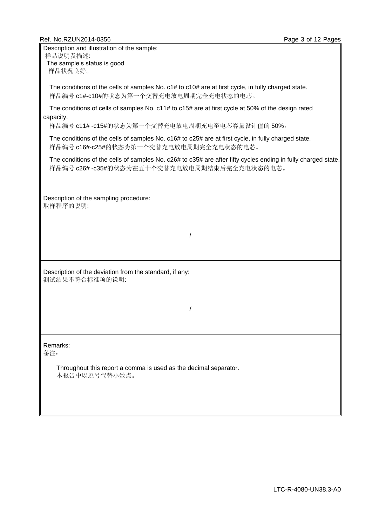#### Ref. No.RZUN2014-0356 Page 3 of 12 Pages

Description and illustration of the sample: 样品说明及描述: The sample's status is good

样品状况良好。

The conditions of the cells of samples No. c1# to c10# are at first cycle, in fully charged state. 样品编号 c1#-c10#的状态为第一个交替充电放电周期完全充电状态的电芯。

The conditions of cells of samples No. c11# to c15# are at first cycle at 50% of the design rated capacity.

样品编号 c11# -c15#的状态为第一个交替充电放电周期充电至电芯容量设计值的 50%。

The conditions of the cells of samples No. c16# to c25# are at first cycle, in fully charged state. 样品编号 c16#-c25#的状态为第一个交替充电放电周期完全充电状态的电芯。

The conditions of the cells of samples No. c26# to c35# are after fifty cycles ending in fully charged state. 样品编号 c26# -c35#的状态为在五十个交替充电放电周期结束后完全充电状态的电芯。

Description of the sampling procedure: 取样程序的说明:

/

Description of the deviation from the standard, if any: 测试结果不符合标准项的说明:

/

### Remarks:

备注:

Throughout this report a comma is used as the decimal separator. 本报告中以逗号代替小数点。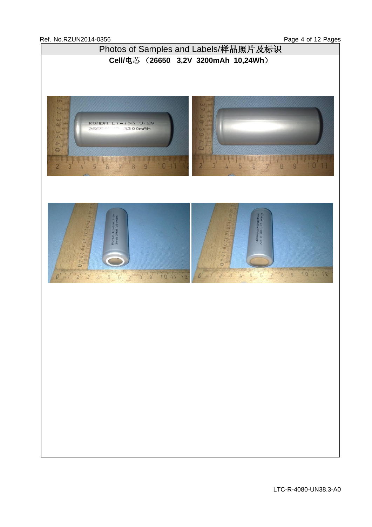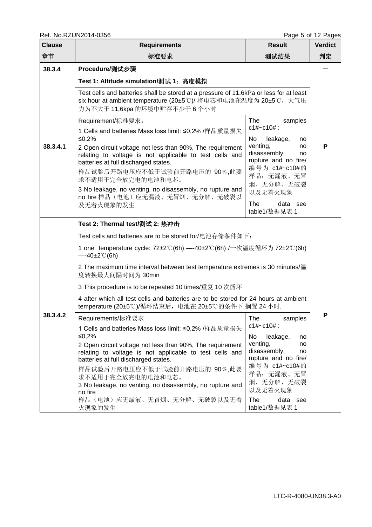| <b>Clause</b> | טטטט די טאוטבענגענו. ווא<br><b>Requirements</b>                                                                                                                                              | <b>Result</b>                                                                               | i ayo J Ji iz i ayos<br><b>Verdict</b> |  |  |  |  |  |
|---------------|----------------------------------------------------------------------------------------------------------------------------------------------------------------------------------------------|---------------------------------------------------------------------------------------------|----------------------------------------|--|--|--|--|--|
| 章节            | 标准要求                                                                                                                                                                                         | 测试结果                                                                                        | 判定                                     |  |  |  |  |  |
| 38.3.4        | Procedure/测试步骤                                                                                                                                                                               |                                                                                             |                                        |  |  |  |  |  |
|               | Test 1: Altitude simulation/测试 1: 高度模拟                                                                                                                                                       |                                                                                             |                                        |  |  |  |  |  |
|               | Test cells and batteries shall be stored at a pressure of 11,6kPa or less for at least<br>six hour at ambient temperature (20±5℃)/ 将电芯和电池在温度为 20±5℃, 大气压<br>力为不大于 11,6kpa 的环境中贮存不少于6个小时      |                                                                                             |                                        |  |  |  |  |  |
| 38.3.4.1      | Requirement/标准要求:                                                                                                                                                                            | <b>The</b><br>samples                                                                       |                                        |  |  |  |  |  |
|               | 1 Cells and batteries Mass loss limit: ≤0,2% /样品质量损失<br>≤0,2%                                                                                                                                | $c1#~c10#$ :<br>No<br>leakage,<br>no                                                        |                                        |  |  |  |  |  |
|               | 2 Open circuit voltage not less than 90%, The requirement<br>relating to voltage is not applicable to test cells and<br>batteries at full discharged states.<br>样品试验后开路电压应不低于试验前开路电压的 90%,此要 | venting,<br>no<br>disassembly,<br>no<br>rupture and no fire/<br>编号为 c1#~c10#的<br>样品: 无漏液、无冒 | P                                      |  |  |  |  |  |
|               | 求不适用于完全放完电的电池和电芯。<br>3 No leakage, no venting, no disassembly, no rupture and<br>no fire 样品(电池)应无漏液、无冒烟、无分解、无破裂以                                                                             | 烟、无分解、无破裂<br>以及无着火现象                                                                        |                                        |  |  |  |  |  |
|               | 及无着火现象的发生                                                                                                                                                                                    | The<br>data see<br>table1/数据见表 1                                                            |                                        |  |  |  |  |  |
|               | Test 2: Thermal test/测试 2: 热冲击                                                                                                                                                               |                                                                                             |                                        |  |  |  |  |  |
|               | Test cells and batteries are to be stored for/电池存储条件如下:                                                                                                                                      |                                                                                             |                                        |  |  |  |  |  |
|               | 1 one temperature cycle: 72±2℃(6h) —-40±2℃(6h) /一次温度循环为 72±2℃(6h)<br>$-40\pm2^{\circ}C(6h)$                                                                                                  |                                                                                             |                                        |  |  |  |  |  |
|               | 2 The maximum time interval between test temperature extremes is 30 minutes/温<br>度转换最大间隔时间为 30min                                                                                            |                                                                                             |                                        |  |  |  |  |  |
|               | 3 This procedure is to be repeated 10 times/重复 10 次循环                                                                                                                                        |                                                                                             |                                        |  |  |  |  |  |
|               | 4 after which all test cells and batteries are to be stored for 24 hours at ambient<br>temperature (20±5℃)/循环结束后, 电池在 20±5℃的条件下 搁置 24 小时.                                                    |                                                                                             |                                        |  |  |  |  |  |
| 38.3.4.2      | Requirements/标准要求                                                                                                                                                                            | The<br>samples                                                                              | Ρ                                      |  |  |  |  |  |
|               | 1 Cells and batteries Mass loss limit: ≤0,2% /样品质量损失<br>≤0,2%                                                                                                                                | $c1#~c10#$ :                                                                                |                                        |  |  |  |  |  |
|               | 2 Open circuit voltage not less than 90%, The requirement<br>relating to voltage is not applicable to test cells and<br>batteries at full discharged states.                                 | No<br>leakage,<br>no<br>venting,<br>no<br>disassembly,<br>no<br>rupture and no fire/        |                                        |  |  |  |  |  |
|               | 样品试验后开路电压应不低于试验前开路电压的 90%,此要<br>求不适用于完全放完电的电池和电芯。<br>3 No leakage, no venting, no disassembly, no rupture and<br>no fire                                                                     | 编号为 c1#~c10#的<br>样品: 无漏液、无冒<br>烟、无分解、无破裂<br>以及无着火现象                                         |                                        |  |  |  |  |  |
|               | 样品(电池)应无漏液、无冒烟、无分解、无破裂以及无着<br>火现象的发生                                                                                                                                                         | The<br>data see<br>table1/数据见表 1                                                            |                                        |  |  |  |  |  |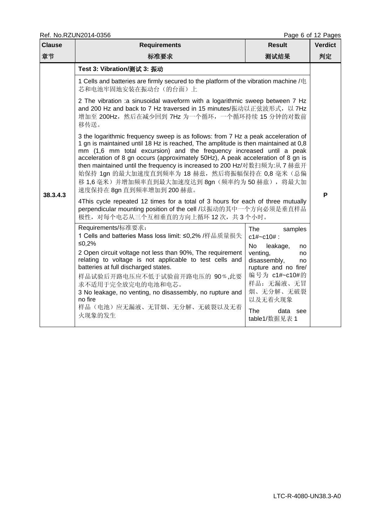|               | Ref. No.RZUN2014-0356                                                                                                                                                                                                                                                                                                                                                                                                                                                                                                                                                                                                                                                                                                                                                                                                                                                                                                                                                                                                                                                                                                                                                                                                                                                                                                                                                                                                                                                                                                      |                                                                                                                                                                                                                | Page 6 of 12 Pages |  |  |  |
|---------------|----------------------------------------------------------------------------------------------------------------------------------------------------------------------------------------------------------------------------------------------------------------------------------------------------------------------------------------------------------------------------------------------------------------------------------------------------------------------------------------------------------------------------------------------------------------------------------------------------------------------------------------------------------------------------------------------------------------------------------------------------------------------------------------------------------------------------------------------------------------------------------------------------------------------------------------------------------------------------------------------------------------------------------------------------------------------------------------------------------------------------------------------------------------------------------------------------------------------------------------------------------------------------------------------------------------------------------------------------------------------------------------------------------------------------------------------------------------------------------------------------------------------------|----------------------------------------------------------------------------------------------------------------------------------------------------------------------------------------------------------------|--------------------|--|--|--|
| <b>Clause</b> | <b>Result</b><br><b>Verdict</b><br><b>Requirements</b>                                                                                                                                                                                                                                                                                                                                                                                                                                                                                                                                                                                                                                                                                                                                                                                                                                                                                                                                                                                                                                                                                                                                                                                                                                                                                                                                                                                                                                                                     |                                                                                                                                                                                                                |                    |  |  |  |
| 章节            | 标准要求                                                                                                                                                                                                                                                                                                                                                                                                                                                                                                                                                                                                                                                                                                                                                                                                                                                                                                                                                                                                                                                                                                                                                                                                                                                                                                                                                                                                                                                                                                                       | 测试结果                                                                                                                                                                                                           | 判定                 |  |  |  |
| 38.3.4.3      | Test 3: Vibration/测试 3: 振动<br>1 Cells and batteries are firmly secured to the platform of the vibration machine /电<br>芯和电池牢固地安装在振动台(的台面)上<br>2 The vibration :a sinusoidal waveform with a logarithmic sweep between 7 Hz<br>and 200 Hz and back to 7 Hz traversed in 15 minutes/振动以正弦波形式, 以 7Hz<br>增加至 200Hz, 然后在减少回到 7Hz 为一个循环, 一个循环持续 15 分钟的对数前<br>移传送。<br>3 the logarithmic frequency sweep is as follows: from 7 Hz a peak acceleration of<br>1 gn is maintained until 18 Hz is reached, The amplitude is then maintained at 0,8<br>mm (1,6 mm total excursion) and the frequency increased until a peak<br>acceleration of 8 gn occurs (approximately 50Hz), A peak acceleration of 8 gn is<br>then maintained until the frequency is increased to 200 Hz/对数扫频为:从 7 赫兹开<br>始保持 1gn 的最大加速度直到频率为 18 赫兹, 然后将振幅保持在 0,8 毫米 (总偏<br>移 1,6 毫米) 并增加频率直到最大加速度达到 8gn (频率约为 50 赫兹), 将最大加<br>速度保持在 8gn 直到频率增加到 200 赫兹。<br>4This cycle repeated 12 times for a total of 3 hours for each of three mutually<br>perpendicular mounting position of the cell /以振动的其中一个方向必须是垂直样品<br>极性, 对每个电芯从三个互相垂直的方向上循环12次, 共3个小时。<br>Requirements/标准要求:<br>1 Cells and batteries Mass loss limit: ≤0,2% /样品质量损失<br>≤0,2%<br>2 Open circuit voltage not less than 90%, The requirement<br>relating to voltage is not applicable to test cells and<br>batteries at full discharged states.<br>样品试验后开路电压应不低于试验前开路电压的 90%,此要<br>求不适用于完全放完电的电池和电芯。<br>3 No leakage, no venting, no disassembly, no rupture and<br>no fire<br>样品(电池)应无漏液、无冒烟、无分解、无破裂以及无着 | The<br>samples<br>$c1#~c10#$ :<br><b>No</b><br>leakage,<br>no<br>venting,<br>no<br>disassembly,<br>no<br>rupture and no fire/<br>编号为 c1#~c10#的<br>样品: 无漏液、无冒<br>烟、无分解、无破裂<br>以及无着火现象<br><b>The</b><br>data see | P                  |  |  |  |
|               | 火现象的发生                                                                                                                                                                                                                                                                                                                                                                                                                                                                                                                                                                                                                                                                                                                                                                                                                                                                                                                                                                                                                                                                                                                                                                                                                                                                                                                                                                                                                                                                                                                     | table1/数据见表 1                                                                                                                                                                                                  |                    |  |  |  |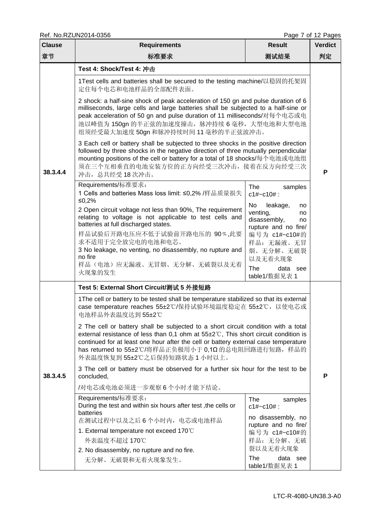Ref. No.RZUN2014-0356

| <b>Clause</b> | ISEI. I VOITZOI VZUTT-0000<br><b>Requirements</b>                                                                                                                                                                                                                                                                                                                 | <b>Result</b>                                                                                  | iayo i vi iz iayos<br><b>Verdict</b> |  |  |  |  |  |
|---------------|-------------------------------------------------------------------------------------------------------------------------------------------------------------------------------------------------------------------------------------------------------------------------------------------------------------------------------------------------------------------|------------------------------------------------------------------------------------------------|--------------------------------------|--|--|--|--|--|
| 章节            | 标准要求<br>测试结果                                                                                                                                                                                                                                                                                                                                                      |                                                                                                |                                      |  |  |  |  |  |
|               | Test 4: Shock/Test 4: 冲击                                                                                                                                                                                                                                                                                                                                          |                                                                                                |                                      |  |  |  |  |  |
|               | 1Test cells and batteries shall be secured to the testing machine/以稳固的托架固<br>定住每个电芯和电池样品的全部配件表面。                                                                                                                                                                                                                                                                  |                                                                                                |                                      |  |  |  |  |  |
|               | 2 shock: a half-sine shock of peak acceleration of 150 gn and pulse duration of 6<br>milliseconds, large cells and large batteries shall be subjected to a half-sine or<br>peak acceleration of 50 gn and pulse duration of 11 milliseconds/对每个电芯或电<br>池以峰值为 150gn 的半正弦的加速度撞击, 脉冲持续 6 毫秒, 大型电池和大型电池<br>组须经受最大加速度 50gn 和脉冲持续时间 11 毫秒的半正弦波冲击。                       |                                                                                                |                                      |  |  |  |  |  |
| 38.3.4.4      | 3 Each cell or battery shall be subjected to three shocks in the positive direction<br>followed by three shocks in the negative direction of three mutually perpendicular<br>mounting positions of the cell or battery for a total of 18 shocks/每个电池或电池组<br>须在三个互相垂直的电池安装方位的正方向经受三次冲击, 接着在反方向经受三次<br>冲击, 总共经受18次冲击。                                               |                                                                                                |                                      |  |  |  |  |  |
|               | Requirements/标准要求:<br>1 Cells and batteries Mass loss limit: ≤0,2% /样品质量损失<br>≤0,2%                                                                                                                                                                                                                                                                               | The<br>samples<br>$c1#~c10#$ :                                                                 |                                      |  |  |  |  |  |
|               | 2 Open circuit voltage not less than 90%, The requirement<br>relating to voltage is not applicable to test cells and<br>batteries at full discharged states.                                                                                                                                                                                                      | No<br>leakage,<br>no<br>venting,<br>no<br>disassembly,<br>no<br>rupture and no fire/           |                                      |  |  |  |  |  |
|               | 样品试验后开路电压应不低于试验前开路电压的 90%,此要<br>求不适用于完全放完电的电池和电芯。<br>3 No leakage, no venting, no disassembly, no rupture and<br>no fire<br>样品(电池)应无漏液、无冒烟、无分解、无破裂以及无着<br>火现象的发生                                                                                                                                                                                                  | 编号为 c1#~c10#的<br>样品: 无漏液、无冒<br>烟、无分解、无破裂<br>以及无着火现象<br><b>The</b><br>data see<br>table1/数据见表 1 |                                      |  |  |  |  |  |
|               | Test 5: External Short Circuit/测试 5 外接短路                                                                                                                                                                                                                                                                                                                          |                                                                                                |                                      |  |  |  |  |  |
|               | 1The cell or battery to be tested shall be temperature stabilized so that its external<br>case temperature reaches 55±2℃/保持试验环境温度稳定在 55±2℃, 以使电芯或<br>电池样品外表温度达到55±2℃                                                                                                                                                                                              |                                                                                                |                                      |  |  |  |  |  |
|               | 2 The cell or battery shall be subjected to a short circuit condition with a total<br>external resistance of less than 0,1 ohm at $55\pm2\degree$ C, This short circuit condition is<br>continued for at least one hour after the cell or battery external case temperature<br>has returned to 55±2℃/将样品正负极用小于 0,1Ω 的总电阻回路进行短路, 样品的<br>外表温度恢复到55±2℃之后保持短路状态1小时以上。 |                                                                                                |                                      |  |  |  |  |  |
| 38.3.4.5      | 3 The cell or battery must be observed for a further six hour for the test to be<br>concluded,                                                                                                                                                                                                                                                                    |                                                                                                |                                      |  |  |  |  |  |
|               | /对电芯或电池必须进一步观察6个小时才能下结论。                                                                                                                                                                                                                                                                                                                                          |                                                                                                |                                      |  |  |  |  |  |
|               | Requirements/标准要求:<br>During the test and within six hours after test, the cells or<br>batteries<br>在测试过程中以及之后6个小时内, 电芯或电池样品                                                                                                                                                                                                                                      | The<br>samples<br>$c1#~c10#$ :<br>no disassembly, no                                           |                                      |  |  |  |  |  |
|               | 1. External temperature not exceed 170°C                                                                                                                                                                                                                                                                                                                          | rupture and no fire/<br>编号为 c1#~c10#的                                                          |                                      |  |  |  |  |  |
|               | 外表温度不超过 170℃                                                                                                                                                                                                                                                                                                                                                      | 样品: 无分解、无破                                                                                     |                                      |  |  |  |  |  |
|               | 裂以及无着火现象<br>2. No disassembly, no rupture and no fire.<br><b>The</b><br>data see                                                                                                                                                                                                                                                                                  |                                                                                                |                                      |  |  |  |  |  |
|               | 无分解、无破裂和无着火现象发生。                                                                                                                                                                                                                                                                                                                                                  | table1/数据见表 1                                                                                  |                                      |  |  |  |  |  |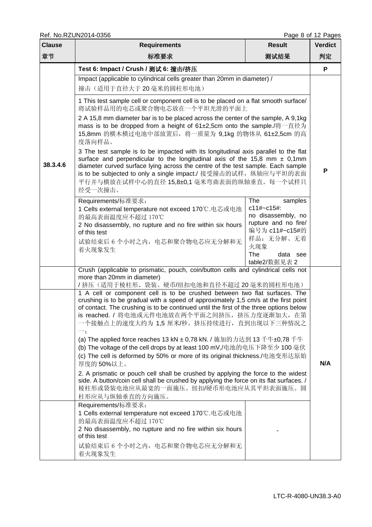Ref. No.RZUN2014-0356 Page 8 of 12 Pages

| <b>Clause</b> | <b>Requirements</b><br><b>Result</b>                                                                                                                                                                                                                                                                                                                                                                                                                                                                                                                                                                                                                                                                                                                                                                                                                                                                                                                                                                                                                                                                                                                                                             |                                                                                                                                             |     |  |  |  |  |  |
|---------------|--------------------------------------------------------------------------------------------------------------------------------------------------------------------------------------------------------------------------------------------------------------------------------------------------------------------------------------------------------------------------------------------------------------------------------------------------------------------------------------------------------------------------------------------------------------------------------------------------------------------------------------------------------------------------------------------------------------------------------------------------------------------------------------------------------------------------------------------------------------------------------------------------------------------------------------------------------------------------------------------------------------------------------------------------------------------------------------------------------------------------------------------------------------------------------------------------|---------------------------------------------------------------------------------------------------------------------------------------------|-----|--|--|--|--|--|
| 章节            | 测试结果<br>标准要求                                                                                                                                                                                                                                                                                                                                                                                                                                                                                                                                                                                                                                                                                                                                                                                                                                                                                                                                                                                                                                                                                                                                                                                     |                                                                                                                                             |     |  |  |  |  |  |
|               | Test 6: Impact / Crush / 测试 6: 撞击/挤压                                                                                                                                                                                                                                                                                                                                                                                                                                                                                                                                                                                                                                                                                                                                                                                                                                                                                                                                                                                                                                                                                                                                                             |                                                                                                                                             | P   |  |  |  |  |  |
|               | Impact (applicable to cylindrical cells greater than 20mm in diameter) /<br>撞击(适用于直径大于20毫米的圆柱形电池)                                                                                                                                                                                                                                                                                                                                                                                                                                                                                                                                                                                                                                                                                                                                                                                                                                                                                                                                                                                                                                                                                                |                                                                                                                                             |     |  |  |  |  |  |
|               | 1 This test sample cell or component cell is to be placed on a flat smooth surface/<br>将试验样品用的电芯或聚合物电芯放在一个平坦光滑的平面上                                                                                                                                                                                                                                                                                                                                                                                                                                                                                                                                                                                                                                                                                                                                                                                                                                                                                                                                                                                                                                                                               |                                                                                                                                             |     |  |  |  |  |  |
|               | 2 A 15,8 mm diameter bar is to be placed across the center of the sample, A 9,1kg<br>mass is to be dropped from a height of 61±2,5cm onto the sample./将一直径为<br>15,8mm 的横木横过电池中部放置后, 将一质量为 9,1kg 的物体从 61±2,5cm 的高<br>度落向样品。                                                                                                                                                                                                                                                                                                                                                                                                                                                                                                                                                                                                                                                                                                                                                                                                                                                                                                                                                                       |                                                                                                                                             |     |  |  |  |  |  |
| 38.3.4.6      | 3 The test sample is to be impacted with its longitudinal axis parallel to the flat<br>surface and perpendicular to the longitudinal axis of the 15,8 mm $\pm$ 0,1mm<br>diameter curved surface lying across the centre of the test sample. Each sample<br>is to be subjected to only a single impact./ 接受撞击的试样, 纵轴应与平坦的表面<br>平行并与横放在试样中心的直径 15,8±0,1 毫米弯曲表面的纵轴垂直。每一个试样只<br>经受一次撞击。                                                                                                                                                                                                                                                                                                                                                                                                                                                                                                                                                                                                                                                                                                                                                                                                              |                                                                                                                                             |     |  |  |  |  |  |
|               | Requirements/标准要求:<br>1 Cells external temperature not exceed 170℃.电芯或电池<br>的最高表面温度应不超过 170℃<br>2 No disassembly, no rupture and no fire within six hours<br>of this test<br>试验结束后 6 个小时之内, 电芯和聚合物电芯应无分解和无<br>着火现象发生                                                                                                                                                                                                                                                                                                                                                                                                                                                                                                                                                                                                                                                                                                                                                                                                                                                                                                                                                                             | <b>The</b><br>samples<br>c11#~c15#:<br>no disassembly, no<br>rupture and no fire/<br>编号为 c11#~c15#的<br>样品: 无分解、无着<br>火现象<br>The<br>data see |     |  |  |  |  |  |
|               | Crush (applicable to prismatic, pouch, coin/button cells and cylindrical cells not<br>more than 20mm in diameter)<br>/挤压(适用于棱柱形、袋装、硬币/纽扣电池和直径不超过20毫米的圆柱形电池)<br>1 A cell or component cell is to be crushed between two flat surfaces. The<br>crushing is to be gradual with a speed of approximately 1,5 cm/s at the first point<br>of contact. The crushing is to be continued until the first of the three options below<br>is reached. / 将电池或元件电池放在两个平面之间挤压, 挤压力度逐渐加大, 在第<br>一个接触点上的速度大约为 1,5 厘米/秒。挤压持续进行, 直到出现以下三种情况之<br>(a) The applied force reaches 13 kN ± 0,78 kN. / 施加的力达到 13 千牛±0,78 千牛<br>(b) The voltage of the cell drops by at least 100 mV,/电池的电压下降至少 100 毫伏<br>(c) The cell is deformed by 50% or more of its original thickness./电池变形达原始<br>厚度的50%以上。<br>2. A prismatic or pouch cell shall be crushed by applying the force to the widest<br>side. A button/coin cell shall be crushed by applying the force on its flat surfaces. /<br>棱柱形或袋装电池应从最宽的一面施压。纽扣/硬币形电池应从其平坦表面施压。圆<br>柱形应从与纵轴垂直的方向施压。<br>Requirements/标准要求:<br>1 Cells external temperature not exceed 170℃.电芯或电池<br>的最高表面温度应不超过 170℃<br>2 No disassembly, no rupture and no fire within six hours<br>of this test | table2/数据见表 2                                                                                                                               | N/A |  |  |  |  |  |
|               | 试验结束后 6 个小时之内,电芯和聚合物电芯应无分解和无<br>着火现象发生                                                                                                                                                                                                                                                                                                                                                                                                                                                                                                                                                                                                                                                                                                                                                                                                                                                                                                                                                                                                                                                                                                                                                           |                                                                                                                                             |     |  |  |  |  |  |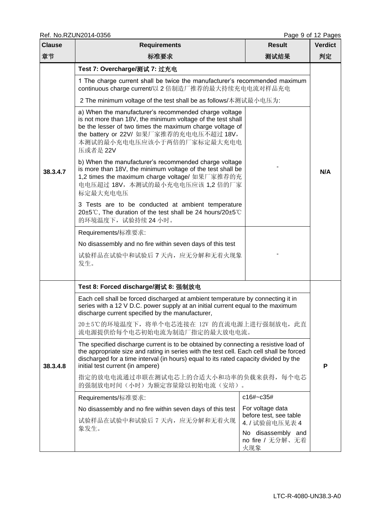Ref. No.RZUN2014-0356 Page 9 of 12 Pages

| <b>Clause</b> | <b>Requirements</b>                                                                                                                                                                                                                                                                                                                                                                                                                                                                                                                                                                                                                                                                                                                                                                                                                                                                                                                                           | <b>Result</b>                              | $1$ ugu v v $1$ $ 1$ ugua<br><b>Verdict</b> |  |  |  |  |
|---------------|---------------------------------------------------------------------------------------------------------------------------------------------------------------------------------------------------------------------------------------------------------------------------------------------------------------------------------------------------------------------------------------------------------------------------------------------------------------------------------------------------------------------------------------------------------------------------------------------------------------------------------------------------------------------------------------------------------------------------------------------------------------------------------------------------------------------------------------------------------------------------------------------------------------------------------------------------------------|--------------------------------------------|---------------------------------------------|--|--|--|--|
| 章节            | 标准要求                                                                                                                                                                                                                                                                                                                                                                                                                                                                                                                                                                                                                                                                                                                                                                                                                                                                                                                                                          | 测试结果                                       | 判定                                          |  |  |  |  |
| 38.3.4.7      | Test 7: Overcharge/测试 7: 过充电<br>1 The charge current shall be twice the manufacturer's recommended maximum<br>continuous charge current/以 2 倍制造厂推荐的最大持续充电电流对样品充电<br>2 The minimum voltage of the test shall be as follows/本测试最小电压为:<br>a) When the manufacturer's recommended charge voltage<br>is not more than 18V, the minimum voltage of the test shall<br>be the lesser of two times the maximum charge voltage of<br>the battery or 22V/ 如果厂家推荐的充电电压不超过 18V,<br>本测试的最小充电电压应该小于两倍的厂家标定最大充电电<br>压或者是 22V<br>b) When the manufacturer's recommended charge voltage<br>is more than 18V, the minimum voltage of the test shall be<br>1,2 times the maximum charge voltage/ 如果厂家推荐的充<br>电电压超过 18V, 本测试的最小充电电压应该 1,2 倍的厂家<br>标定最大充电电压<br>3 Tests are to be conducted at ambient temperature<br>20±5℃, The duration of the test shall be 24 hours/20±5℃<br>的环境温度下,试验持续24小时。<br>Requirements/标准要求:<br>No disassembly and no fire within seven days of this test |                                            |                                             |  |  |  |  |
|               | 试验样品在试验中和试验后 7 天内, 应无分解和无着火现象<br>发生。                                                                                                                                                                                                                                                                                                                                                                                                                                                                                                                                                                                                                                                                                                                                                                                                                                                                                                                          |                                            |                                             |  |  |  |  |
|               | Test 8: Forced discharge/测试 8: 强制放电                                                                                                                                                                                                                                                                                                                                                                                                                                                                                                                                                                                                                                                                                                                                                                                                                                                                                                                           |                                            |                                             |  |  |  |  |
| 38.3.4.8      | Each cell shall be forced discharged at ambient temperature by connecting it in<br>series with a 12 V D.C. power supply at an initial current equal to the maximum<br>discharge current specified by the manufacturer,<br>20±5℃的环境温度下, 将单个电芯连接在 12V 的直流电源上进行强制放电, 此直<br>流电源提供给每个电芯初始电流为制造厂指定的最大放电电流。                                                                                                                                                                                                                                                                                                                                                                                                                                                                                                                                                                                                                                                          |                                            |                                             |  |  |  |  |
|               | The specified discharge current is to be obtained by connecting a resistive load of<br>the appropriate size and rating in series with the test cell. Each cell shall be forced<br>discharged for a time interval (in hours) equal to its rated capacity divided by the<br>initial test current (in ampere)                                                                                                                                                                                                                                                                                                                                                                                                                                                                                                                                                                                                                                                    |                                            |                                             |  |  |  |  |
|               | 指定的放电电流通过串联在测试电芯上的合适大小和功率的负载来获得, 每个电芯<br>的强制放电时间(小时)为额定容量除以初始电流(安培)。                                                                                                                                                                                                                                                                                                                                                                                                                                                                                                                                                                                                                                                                                                                                                                                                                                                                                          |                                            |                                             |  |  |  |  |
|               | Requirements/标准要求:                                                                                                                                                                                                                                                                                                                                                                                                                                                                                                                                                                                                                                                                                                                                                                                                                                                                                                                                            | c16#~c35#                                  |                                             |  |  |  |  |
|               | No disassembly and no fire within seven days of this test                                                                                                                                                                                                                                                                                                                                                                                                                                                                                                                                                                                                                                                                                                                                                                                                                                                                                                     | For voltage data<br>before test, see table |                                             |  |  |  |  |
|               | 试验样品在试验中和试验后 7 天内, 应无分解和无着火现<br>象发生。                                                                                                                                                                                                                                                                                                                                                                                                                                                                                                                                                                                                                                                                                                                                                                                                                                                                                                                          | 4. / 试验前电压见表 4<br>No disassembly and       |                                             |  |  |  |  |
|               |                                                                                                                                                                                                                                                                                                                                                                                                                                                                                                                                                                                                                                                                                                                                                                                                                                                                                                                                                               | no fire / 无分解、无着<br>火现象                    |                                             |  |  |  |  |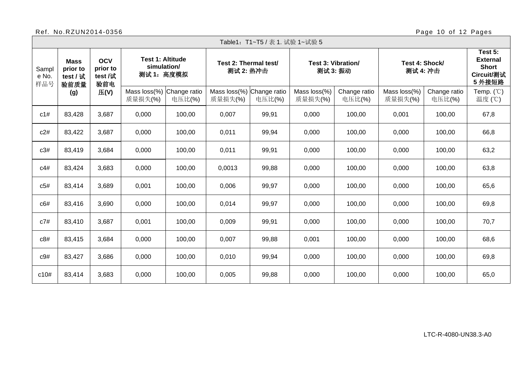## Ref. No.RZUN2014-0356 Page 10 of 12 Pages

┓

|                       | Table1:T1~T5 / 表 1. 试验 1~试验 5               |       |                                          |                                                      |                                      |                                    |                         |                           |                         |                            |                                |                                                                    |
|-----------------------|---------------------------------------------|-------|------------------------------------------|------------------------------------------------------|--------------------------------------|------------------------------------|-------------------------|---------------------------|-------------------------|----------------------------|--------------------------------|--------------------------------------------------------------------|
| Sampl<br>e No.<br>样品号 | <b>Mass</b><br>prior to<br>test / 试<br>验前质量 |       | <b>OCV</b><br>prior to<br>test /试<br>验前电 | <b>Test 1: Altitude</b><br>simulation/<br>测试 1: 高度模拟 |                                      | Test 2: Thermal test/<br>测试 2: 热冲击 |                         | <b>Test 3: Vibration/</b> | 测试 3: 振动                | Test 4: Shock/<br>测试 4: 冲击 |                                | Test 5:<br><b>External</b><br><b>Short</b><br>Circuit/测试<br>5 外接短路 |
|                       | (g)                                         | E(V)  | Mass loss(%)<br>质量损失(%)                  | Change ratio<br>电压比(%)                               | Mass loss(%) Change ratio<br>质量损失(%) | 电压比(%)                             | Mass loss(%)<br>质量损失(%) | Change ratio<br>电压比(%)    | Mass loss(%)<br>质量损失(%) | Change ratio<br>电压比(%)     | Temp. $(^\circledR)$<br>温度 (℃) |                                                                    |
| c1#                   | 83,428                                      | 3,687 | 0,000                                    | 100,00                                               | 0,007                                | 99,91                              | 0,000                   | 100,00                    | 0,001                   | 100,00                     | 67,8                           |                                                                    |
| c2#                   | 83,422                                      | 3,687 | 0,000                                    | 100,00                                               | 0,011                                | 99,94                              | 0,000                   | 100,00                    | 0,000                   | 100,00                     | 66,8                           |                                                                    |
| c3#                   | 83,419                                      | 3,684 | 0,000                                    | 100,00                                               | 0,011                                | 99,91                              | 0,000                   | 100,00                    | 0,000                   | 100,00                     | 63,2                           |                                                                    |
| c4#                   | 83,424                                      | 3,683 | 0,000                                    | 100,00                                               | 0,0013                               | 99,88                              | 0,000                   | 100,00                    | 0,000                   | 100,00                     | 63,8                           |                                                                    |
| c5#                   | 83,414                                      | 3,689 | 0,001                                    | 100,00                                               | 0,006                                | 99,97                              | 0,000                   | 100,00                    | 0,000                   | 100,00                     | 65,6                           |                                                                    |
| c6#                   | 83,416                                      | 3,690 | 0,000                                    | 100,00                                               | 0,014                                | 99,97                              | 0,000                   | 100,00                    | 0,000                   | 100,00                     | 69,8                           |                                                                    |
| c7#                   | 83,410                                      | 3,687 | 0,001                                    | 100,00                                               | 0,009                                | 99,91                              | 0,000                   | 100,00                    | 0,000                   | 100,00                     | 70,7                           |                                                                    |
| c8#                   | 83,415                                      | 3,684 | 0,000                                    | 100,00                                               | 0,007                                | 99,88                              | 0,001                   | 100,00                    | 0,000                   | 100,00                     | 68,6                           |                                                                    |
| c9#                   | 83,427                                      | 3,686 | 0,000                                    | 100,00                                               | 0,010                                | 99,94                              | 0,000                   | 100,00                    | 0,000                   | 100,00                     | 69,8                           |                                                                    |
| c10#                  | 83,414                                      | 3,683 | 0,000                                    | 100,00                                               | 0,005                                | 99,88                              | 0,000                   | 100,00                    | 0,000                   | 100,00                     | 65,0                           |                                                                    |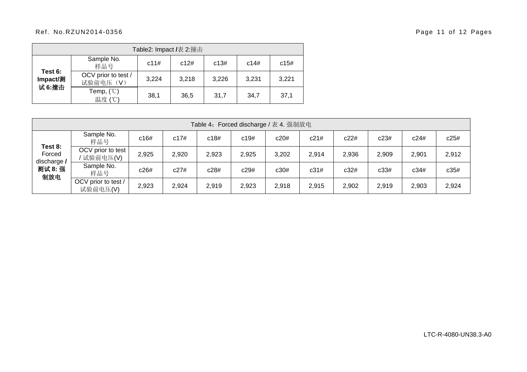### Ref. No.RZUN2014-0356 Page 11 of 12 Pages

| Table2: Impact /表 2:撞击        |                                 |       |       |       |       |       |  |  |  |
|-------------------------------|---------------------------------|-------|-------|-------|-------|-------|--|--|--|
|                               | Sample No.<br>样品号               | c11#  | c12#  | c13#  | c14#  | c15#  |  |  |  |
| Test 6:<br>Impact/测<br>试 6:撞击 | OCV prior to test /<br>试验前电压(V) | 3,224 | 3,218 | 3,226 | 3,231 | 3,221 |  |  |  |
|                               | Temp, $(^\circ\circ)$<br>温度 (℃) | 38,1  | 36,5  | 31,7  | 34.7  | 37,1  |  |  |  |

| Table 4: Forced discharge / 表 4. 强制放电              |                                 |       |       |       |       |       |       |       |       |       |       |
|----------------------------------------------------|---------------------------------|-------|-------|-------|-------|-------|-------|-------|-------|-------|-------|
| Test 8:<br>Forced<br>discharge /<br>测试 8: 强<br>制放电 | Sample No.<br>样品号               | c16#  | c17#  | c18#  | c19#  | c20#  | c21#  | c22#  | c23#  | c24#  | c25#  |
|                                                    | OCV prior to test<br>' 试验前电压(V) | 2,925 | 2,920 | 2,923 | 2,925 | 3,202 | 2,914 | 2,936 | 2,909 | 2,901 | 2,912 |
|                                                    | Sample No.<br>样品号               | c26#  | c27#  | c28#  | c29#  | c30#  | c31#  | c32#  | c33#  | c34#  | c35#  |
|                                                    | OCV prior to test /<br>试验前电压(V) | 2,923 | 2,924 | 2,919 | 2,923 | 2,918 | 2,915 | 2,902 | 2,919 | 2,903 | 2,924 |